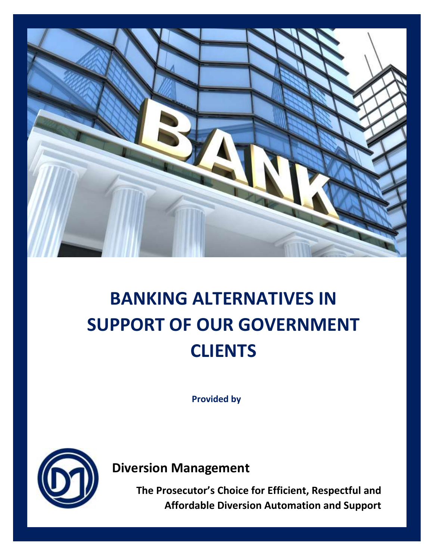

# **BANKING ALTERNATIVES IN SUPPORT OF OUR GOVERNMENT CLIENTS**

**Provided by**



**Diversion Management** 

**The Prosecutor's Choice for Efficient, Respectful and Affordable Diversion Automation and Support**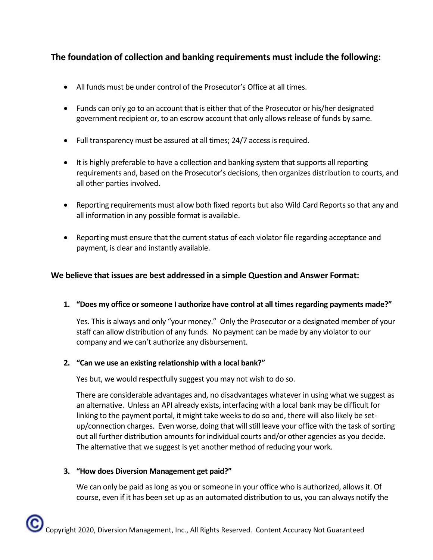## **The foundation of collection and banking requirements must include the following:**

- All funds must be under control of the Prosecutor's Office at all times.
- Funds can only go to an account that is either that of the Prosecutor or his/her designated government recipient or, to an escrow account that only allows release of funds by same.
- Full transparency must be assured at all times; 24/7 access is required.
- It is highly preferable to have a collection and banking system that supports all reporting requirements and, based on the Prosecutor's decisions, then organizes distribution to courts, and all other parties involved.
- Reporting requirements must allow both fixed reports but also Wild Card Reports so that any and all information in any possible format is available.
- Reporting must ensure that the current status of each violator file regarding acceptance and payment, is clear and instantly available.

## **We believe that issues are best addressed in a simple Question and Answer Format:**

**1. "Does my office or someone I authorize have control at all times regarding payments made?"**

Yes. This is always and only "your money." Only the Prosecutor or a designated member of your staff can allow distribution of any funds. No payment can be made by any violator to our company and we can't authorize any disbursement.

## **2. "Can we use an existing relationship with a local bank?"**

Yes but, we would respectfully suggest you may not wish to do so.

There are considerable advantages and, no disadvantages whatever in using what we suggest as an alternative. Unless an API already exists, interfacing with a local bank may be difficult for linking to the payment portal, it might take weeks to do so and, there will also likely be setup/connection charges. Even worse, doing that will still leave your office with the task of sorting out all further distribution amounts for individual courts and/or other agencies as you decide. The alternative that we suggest is yet another method of reducing your work.

#### **3. "How does Diversion Management get paid?"**

We can only be paid as long as you or someone in your office who is authorized, allows it. Of course, even if it has been set up as an automated distribution to us, you can always notify the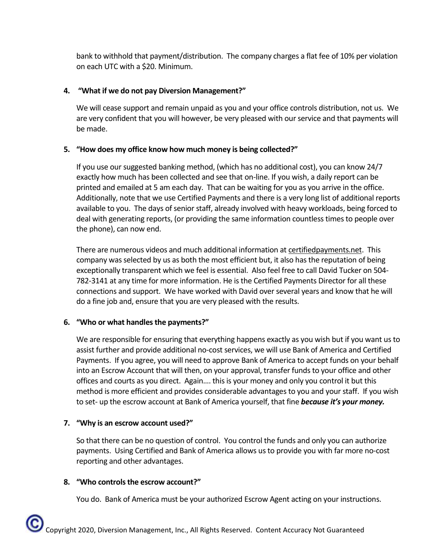bank to withhold that payment/distribution. The company charges a flat fee of 10% per violation on each UTC with a \$20. Minimum.

## **4. "What if we do not pay Diversion Management?"**

We will cease support and remain unpaid as you and your office controls distribution, not us. We are very confident that you will however, be very pleased with our service and that payments will be made.

## **5. "How does my office know how much money is being collected?"**

If you use our suggested banking method, (which has no additional cost), you can know 24/7 exactly how much has been collected and see that on-line. If you wish, a daily report can be printed and emailed at 5 am each day. That can be waiting for you as you arrive in the office. Additionally, note that we use Certified Payments and there is a very long list of additional reports available to you. The days of senior staff, already involved with heavy workloads, being forced to deal with generating reports, (or providing the same information countless times to people over the phone), can now end.

There are numerous videos and much additional information at certifiedpayments.net. This company was selected by us as both the most efficient but, it also has the reputation of being exceptionally transparent which we feel is essential. Also feel free to call David Tucker on 504- 782-3141 at any time for more information. He is the Certified Payments Director for all these connections and support. We have worked with David over several years and know that he will do a fine job and, ensure that you are very pleased with the results.

## **6. "Who or what handles the payments?"**

We are responsible for ensuring that everything happens exactly as you wish but if you want us to assist further and provide additional no-cost services, we will use Bank of America and Certified Payments. If you agree, you will need to approve Bank of America to accept funds on your behalf into an Escrow Account that will then, on your approval, transfer funds to your office and other offices and courts as you direct. Again…. this is your money and only you control it but this method is more efficient and provides considerable advantages to you and your staff. If you wish to set- up the escrow account at Bank of America yourself, that fine *because it's your money.*

## **7. "Why is an escrow account used?"**

So that there can be no question of control. You control the funds and only you can authorize payments. Using Certified and Bank of America allows us to provide you with far more no-cost reporting and other advantages.

## **8. "Who controls the escrow account?"**

You do. Bank of America must be your authorized Escrow Agent acting on your instructions.